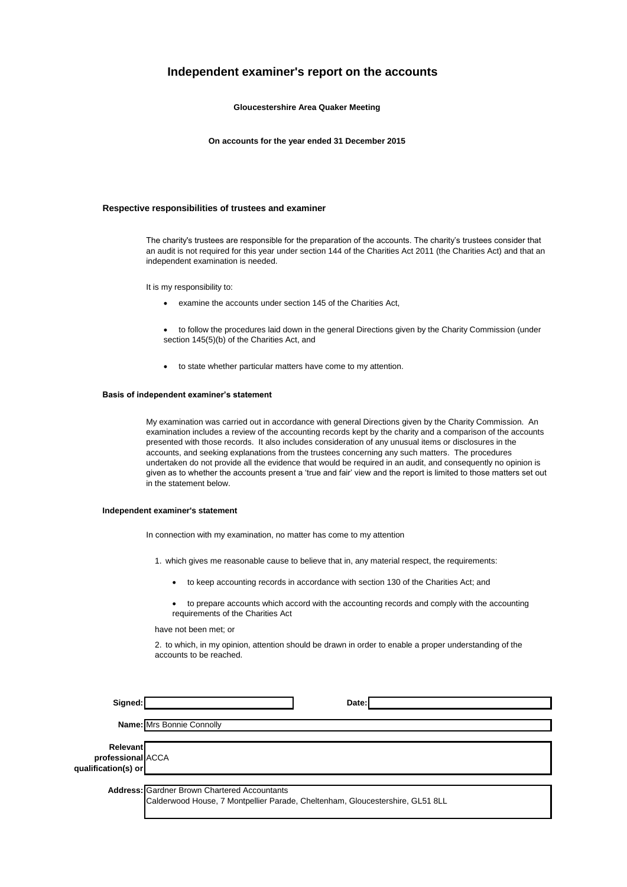### **Independent examiner's report on the accounts**

**Gloucestershire Area Quaker Meeting**

**On accounts for the year ended 31 December 2015**

#### **Respective responsibilities of trustees and examiner**

The charity's trustees are responsible for the preparation of the accounts. The charity's trustees consider that an audit is not required for this year under section 144 of the Charities Act 2011 (the Charities Act) and that an independent examination is needed.

It is my responsibility to:

- examine the accounts under section 145 of the Charities Act,
- to follow the procedures laid down in the general Directions given by the Charity Commission (under section 145(5)(b) of the Charities Act, and
- to state whether particular matters have come to my attention.

#### **Basis of independent examiner's statement**

My examination was carried out in accordance with general Directions given by the Charity Commission. An examination includes a review of the accounting records kept by the charity and a comparison of the accounts presented with those records. It also includes consideration of any unusual items or disclosures in the accounts, and seeking explanations from the trustees concerning any such matters. The procedures undertaken do not provide all the evidence that would be required in an audit, and consequently no opinion is given as to whether the accounts present a 'true and fair' view and the report is limited to those matters set out in the statement below.

#### **Independent examiner's statement**

In connection with my examination, no matter has come to my attention

- 1. which gives me reasonable cause to believe that in, any material respect, the requirements:
	- to keep accounting records in accordance with section 130 of the Charities Act; and
	- to prepare accounts which accord with the accounting records and comply with the accounting requirements of the Charities Act

have not been met; or

2. to which, in my opinion, attention should be drawn in order to enable a proper understanding of the accounts to be reached.

| Signed:                                                     | Date:                                                                                                                                |
|-------------------------------------------------------------|--------------------------------------------------------------------------------------------------------------------------------------|
|                                                             | Name: Mrs Bonnie Connolly                                                                                                            |
| <b>Relevant</b><br>professional ACCA<br>qualification(s) or |                                                                                                                                      |
|                                                             | <b>Address: Gardner Brown Chartered Accountants</b><br>Calderwood House, 7 Montpellier Parade, Cheltenham, Gloucestershire, GL51 8LL |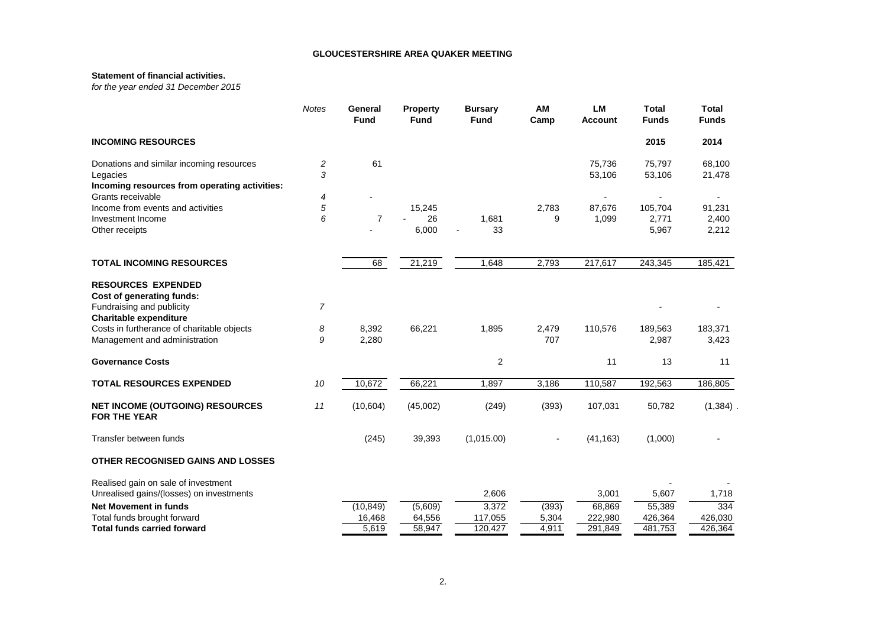#### **Statement of financial activities.**

*for the year ended 31 December 2015*

|                                                               | <b>Notes</b> | General<br><b>Fund</b> | <b>Property</b><br><b>Fund</b> | <b>Bursary</b><br><b>Fund</b> | AM<br>Camp | <b>LM</b><br><b>Account</b> | <b>Total</b><br><b>Funds</b> | <b>Total</b><br><b>Funds</b> |
|---------------------------------------------------------------|--------------|------------------------|--------------------------------|-------------------------------|------------|-----------------------------|------------------------------|------------------------------|
| <b>INCOMING RESOURCES</b>                                     |              |                        |                                |                               |            |                             | 2015                         | 2014                         |
| Donations and similar incoming resources                      | 2<br>3       | 61                     |                                |                               |            | 75,736                      | 75,797                       | 68,100                       |
| Legacies<br>Incoming resources from operating activities:     |              |                        |                                |                               |            | 53,106                      | 53,106                       | 21,478                       |
| Grants receivable                                             | 4            |                        |                                |                               |            |                             |                              |                              |
| Income from events and activities                             | 5            |                        | 15,245                         |                               | 2,783      | 87,676                      | 105,704                      | 91,231                       |
| Investment Income                                             | 6            | $\overline{7}$         | 26                             | 1,681                         | 9          | 1,099                       | 2,771                        | 2,400                        |
| Other receipts                                                |              |                        | 6,000                          | 33                            |            |                             | 5,967                        | 2,212                        |
| <b>TOTAL INCOMING RESOURCES</b>                               |              | 68                     | 21,219                         | 1,648                         | 2,793      | 217,617                     | 243,345                      | 185,421                      |
| <b>RESOURCES EXPENDED</b>                                     |              |                        |                                |                               |            |                             |                              |                              |
| Cost of generating funds:                                     |              |                        |                                |                               |            |                             |                              |                              |
| Fundraising and publicity                                     | 7            |                        |                                |                               |            |                             |                              |                              |
| <b>Charitable expenditure</b>                                 |              |                        |                                |                               |            |                             |                              |                              |
| Costs in furtherance of charitable objects                    | 8            | 8,392                  | 66,221                         | 1,895                         | 2,479      | 110,576                     | 189,563                      | 183,371                      |
| Management and administration                                 | 9            | 2,280                  |                                |                               | 707        |                             | 2,987                        | 3,423                        |
| <b>Governance Costs</b>                                       |              |                        |                                | 2                             |            | 11                          | 13                           | 11                           |
| <b>TOTAL RESOURCES EXPENDED</b>                               | 10           | 10,672                 | 66,221                         | 1,897                         | 3,186      | 110,587                     | 192,563                      | 186,805                      |
| <b>NET INCOME (OUTGOING) RESOURCES</b><br><b>FOR THE YEAR</b> | 11           | (10, 604)              | (45,002)                       | (249)                         | (393)      | 107,031                     | 50,782                       | (1, 384)                     |
| Transfer between funds                                        |              | (245)                  | 39,393                         | (1,015.00)                    |            | (41, 163)                   | (1,000)                      |                              |
| <b>OTHER RECOGNISED GAINS AND LOSSES</b>                      |              |                        |                                |                               |            |                             |                              |                              |
| Realised gain on sale of investment                           |              |                        |                                |                               |            |                             |                              |                              |
| Unrealised gains/(losses) on investments                      |              |                        |                                | 2,606                         |            | 3,001                       | 5,607                        | 1.718                        |
| <b>Net Movement in funds</b>                                  |              | (10, 849)              | (5,609)                        | 3,372                         | (393)      | 68,869                      | 55,389                       | 334                          |
| Total funds brought forward                                   |              | 16,468                 | 64,556                         | 117,055                       | 5,304      | 222,980                     | 426,364                      | 426,030                      |
| <b>Total funds carried forward</b>                            |              | 5,619                  | 58,947                         | 120,427                       | 4,911      | 291,849                     | 481,753                      | 426,364                      |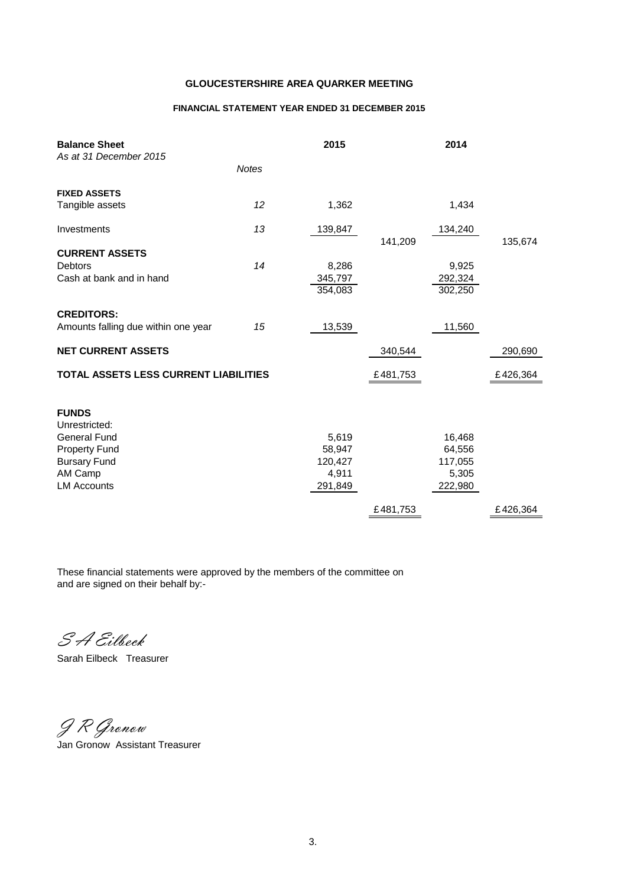### **FINANCIAL STATEMENT YEAR ENDED 31 DECEMBER 2015**

| <b>Balance Sheet</b><br>As at 31 December 2015                                                                 |              | 2015                                |          | 2014                                 |          |
|----------------------------------------------------------------------------------------------------------------|--------------|-------------------------------------|----------|--------------------------------------|----------|
|                                                                                                                | <b>Notes</b> |                                     |          |                                      |          |
| <b>FIXED ASSETS</b>                                                                                            |              |                                     |          |                                      |          |
| Tangible assets                                                                                                | 12           | 1,362                               |          | 1,434                                |          |
| Investments                                                                                                    | 13           | 139,847                             | 141,209  | 134,240                              | 135,674  |
| <b>CURRENT ASSETS</b>                                                                                          |              |                                     |          |                                      |          |
| <b>Debtors</b>                                                                                                 | 14           | 8,286                               |          | 9,925                                |          |
| Cash at bank and in hand                                                                                       |              | 345,797<br>354,083                  |          | 292,324<br>302,250                   |          |
| <b>CREDITORS:</b>                                                                                              |              |                                     |          |                                      |          |
| Amounts falling due within one year                                                                            | 15           | 13,539                              |          | 11,560                               |          |
| <b>NET CURRENT ASSETS</b>                                                                                      |              |                                     | 340,544  |                                      | 290,690  |
| TOTAL ASSETS LESS CURRENT LIABILITIES                                                                          |              |                                     | £481,753 |                                      | £426,364 |
| <b>FUNDS</b><br>Unrestricted:<br><b>General Fund</b><br><b>Property Fund</b><br><b>Bursary Fund</b><br>AM Camp |              | 5,619<br>58,947<br>120,427<br>4,911 |          | 16,468<br>64,556<br>117,055<br>5,305 |          |
| <b>LM Accounts</b>                                                                                             |              | 291,849                             |          | 222,980                              |          |
|                                                                                                                |              |                                     | £481,753 |                                      | £426,364 |

These financial statements were approved by the members of the committee on and are signed on their behalf by:-

S A Eilbeck

Sarah Eilbeck Treasurer

J R Gronow Jan Gronow Assistant Treasurer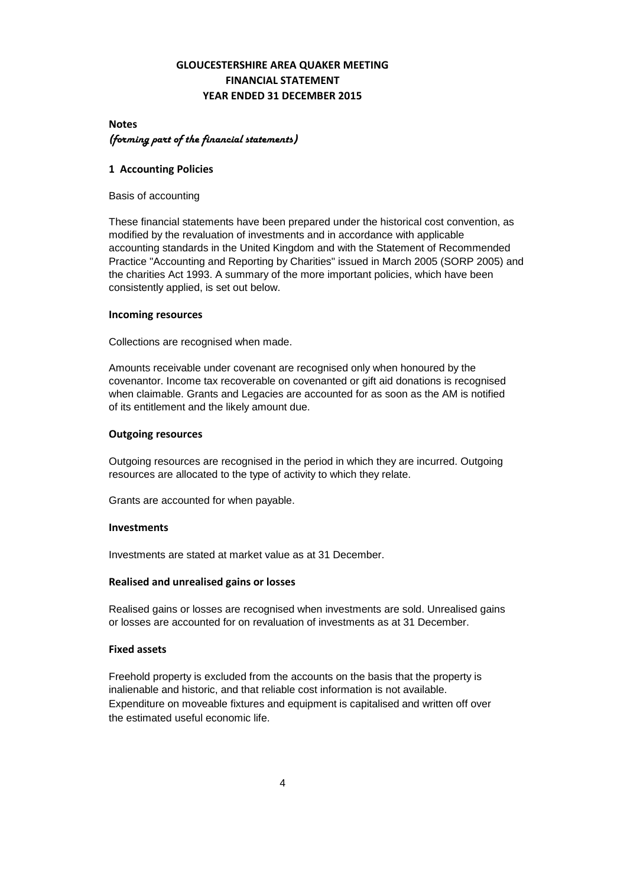# **GLOUCESTERSHIRE AREA QUAKER MEETING FINANCIAL STATEMENT YEAR ENDED 31 DECEMBER 2015**

# **Notes** *(forming part of the financial statements)*

### **1 Accounting Policies**

Basis of accounting

These financial statements have been prepared under the historical cost convention, as modified by the revaluation of investments and in accordance with applicable accounting standards in the United Kingdom and with the Statement of Recommended Practice "Accounting and Reporting by Charities" issued in March 2005 (SORP 2005) and the charities Act 1993. A summary of the more important policies, which have been consistently applied, is set out below.

### **Incoming resources**

Collections are recognised when made.

Amounts receivable under covenant are recognised only when honoured by the covenantor. Income tax recoverable on covenanted or gift aid donations is recognised when claimable. Grants and Legacies are accounted for as soon as the AM is notified of its entitlement and the likely amount due.

### **Outgoing resources**

Outgoing resources are recognised in the period in which they are incurred. Outgoing resources are allocated to the type of activity to which they relate.

Grants are accounted for when payable.

### **Investments**

Investments are stated at market value as at 31 December.

### **Realised and unrealised gains or losses**

Realised gains or losses are recognised when investments are sold. Unrealised gains or losses are accounted for on revaluation of investments as at 31 December.

### **Fixed assets**

Freehold property is excluded from the accounts on the basis that the property is inalienable and historic, and that reliable cost information is not available. Expenditure on moveable fixtures and equipment is capitalised and written off over the estimated useful economic life.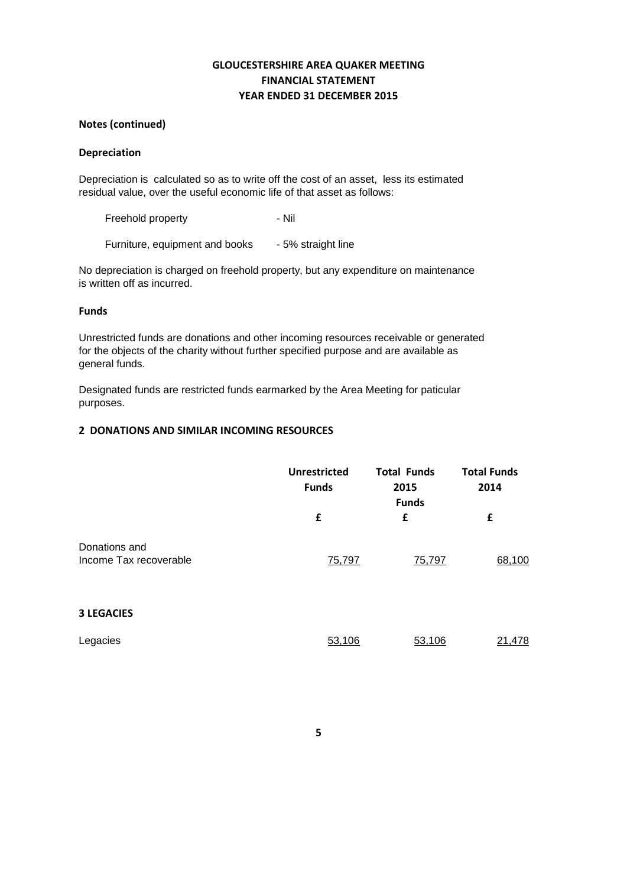# **GLOUCESTERSHIRE AREA QUAKER MEETING FINANCIAL STATEMENT YEAR ENDED 31 DECEMBER 2015**

## **Notes (continued)**

### **Depreciation**

Depreciation is calculated so as to write off the cost of an asset, less its estimated residual value, over the useful economic life of that asset as follows:

Freehold property **- Nil** 

Furniture, equipment and books - 5% straight line

No depreciation is charged on freehold property, but any expenditure on maintenance is written off as incurred.

### **Funds**

Unrestricted funds are donations and other incoming resources receivable or generated for the objects of the charity without further specified purpose and are available as general funds.

Designated funds are restricted funds earmarked by the Area Meeting for paticular purposes.

### **2 DONATIONS AND SIMILAR INCOMING RESOURCES**

|                                         | <b>Unrestricted</b><br><b>Funds</b> | <b>Total Funds</b><br>2015<br><b>Funds</b> | <b>Total Funds</b><br>2014 |
|-----------------------------------------|-------------------------------------|--------------------------------------------|----------------------------|
|                                         | £                                   | £                                          | £                          |
| Donations and<br>Income Tax recoverable | 75,797                              | 75,797                                     | 68,100                     |
| <b>3 LEGACIES</b>                       |                                     |                                            |                            |
| Legacies                                | 53,106                              | 53,106                                     | 21,478                     |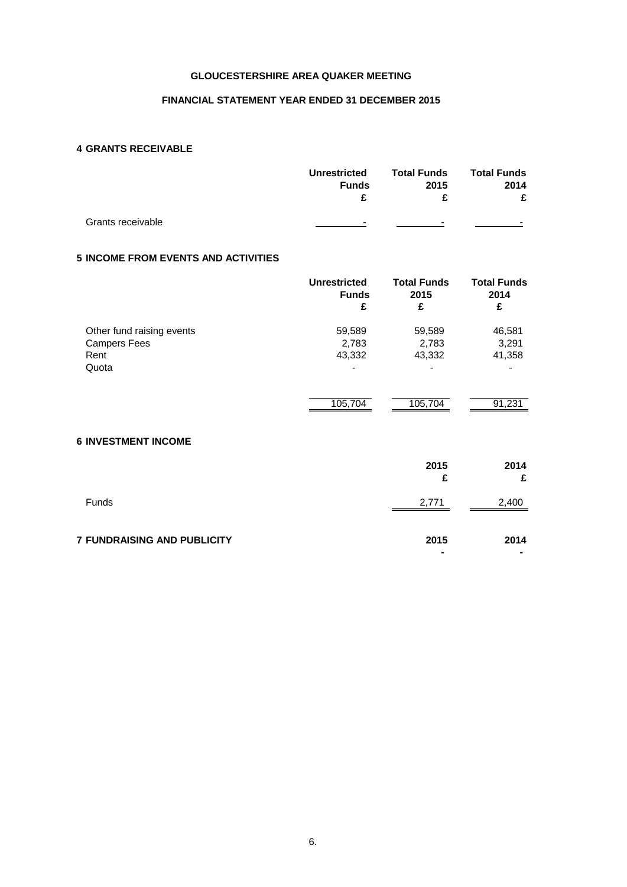### **FINANCIAL STATEMENT YEAR ENDED 31 DECEMBER 2015**

# **4 GRANTS RECEIVABLE**

|                   | <b>Total Funds</b><br><b>Unrestricted</b><br>2015<br><b>Funds</b> |        |                          | <b>Total Funds</b><br>2014 |
|-------------------|-------------------------------------------------------------------|--------|--------------------------|----------------------------|
|                   | £                                                                 |        | £                        |                            |
| Grants receivable | -                                                                 | $\sim$ | $\overline{\phantom{a}}$ |                            |

### **5 INCOME FROM EVENTS AND ACTIVITIES**

|                           | <b>Unrestricted</b><br><b>Funds</b><br>£ | <b>Total Funds</b><br>2015<br>£ | <b>Total Funds</b><br>2014<br>£ |
|---------------------------|------------------------------------------|---------------------------------|---------------------------------|
| Other fund raising events | 59,589                                   | 59,589                          | 46,581                          |
| <b>Campers Fees</b>       | 2,783                                    | 2,783                           | 3,291                           |
| Rent                      | 43,332                                   | 43,332                          | 41,358                          |
| Quota                     | $\overline{\phantom{0}}$                 | $\overline{\phantom{a}}$        |                                 |
|                           |                                          |                                 |                                 |
|                           | 105,704                                  | 105,704                         | 91,231                          |

### **6 INVESTMENT INCOME**

|                                    | 2015<br>£                        | 2014<br>£ |
|------------------------------------|----------------------------------|-----------|
| <b>Funds</b>                       | 2,771                            | 2,400     |
| <b>7 FUNDRAISING AND PUBLICITY</b> | 2015<br>$\overline{\phantom{0}}$ | 2014<br>٠ |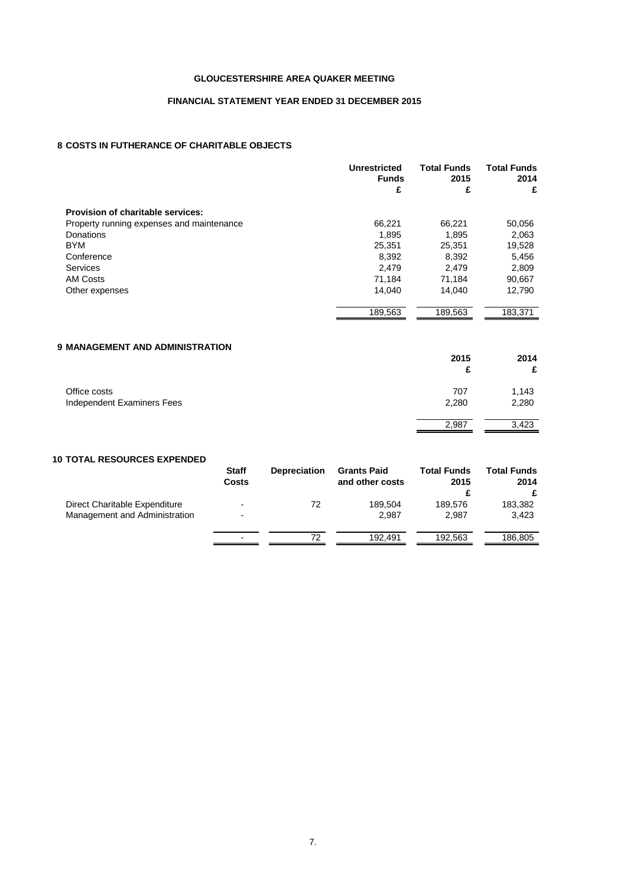### **FINANCIAL STATEMENT YEAR ENDED 31 DECEMBER 2015**

### **8 COSTS IN FUTHERANCE OF CHARITABLE OBJECTS**

|                                           | <b>Unrestricted</b><br><b>Funds</b> | <b>Total Funds</b><br>2015 | <b>Total Funds</b><br>2014 |  |
|-------------------------------------------|-------------------------------------|----------------------------|----------------------------|--|
|                                           | £                                   | £                          | £                          |  |
| Provision of charitable services:         |                                     |                            |                            |  |
| Property running expenses and maintenance | 66,221                              | 66,221                     | 50,056                     |  |
| Donations                                 | 1,895                               | 1,895                      | 2,063                      |  |
| <b>BYM</b>                                | 25,351                              | 25,351                     | 19,528                     |  |
| Conference                                | 8,392                               | 8,392                      | 5,456                      |  |
| <b>Services</b>                           | 2,479                               | 2,479                      | 2,809                      |  |
| AM Costs                                  | 71,184                              | 71,184                     | 90,667                     |  |
| Other expenses                            | 14.040                              | 14.040                     | 12,790                     |  |
|                                           | 189,563                             | 189,563                    | 183,371                    |  |
|                                           |                                     |                            |                            |  |

# **9 MANAGEMENT AND ADMINISTRATION 2015 2014 £ £** Office costs 1,143<br>
Independent Examiners Fees 2,280<br>
2,280 2,280 Independent Examiners Fees 2,987 3,423

#### **10 TOTAL RESOURCES EXPENDED**

|                                                                | <b>Staff</b><br><b>Costs</b>                         | <b>Depreciation</b> | <b>Grants Paid</b><br>and other costs | <b>Total Funds</b><br>2015 | <b>Total Funds</b><br>2014<br>£ |
|----------------------------------------------------------------|------------------------------------------------------|---------------------|---------------------------------------|----------------------------|---------------------------------|
| Direct Charitable Expenditure<br>Management and Administration | $\overline{\phantom{a}}$<br>$\overline{\phantom{0}}$ | 72                  | 189.504<br>2.987                      | 189.576<br>2.987           | 183,382<br>3.423                |
|                                                                | $\overline{\phantom{0}}$                             | 72                  | 192.491                               | 192.563                    | 186,805                         |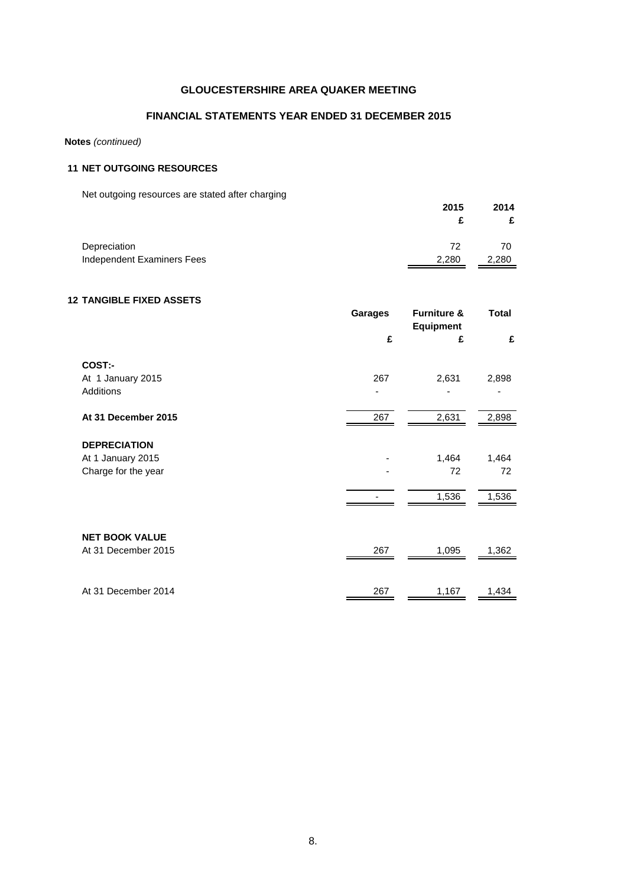### **FINANCIAL STATEMENTS YEAR ENDED 31 DECEMBER 2015**

### **Notes** *(continued)*

## **11 NET OUTGOING RESOURCES**

Net outgoing resources are stated after charging

| The cargonity researces are stated after sharging | 2015  | 2014  |
|---------------------------------------------------|-------|-------|
| Depreciation                                      | 72    | 70    |
| Independent Examiners Fees                        | 2,280 | 2,280 |

## **12 TANGIBLE FIXED ASSETS**

|                       | <b>Garages</b> | <b>Furniture &amp;</b><br><b>Equipment</b> | Total |
|-----------------------|----------------|--------------------------------------------|-------|
|                       | £              | £                                          | £     |
| COST:-                |                |                                            |       |
| At 1 January 2015     | 267            | 2,631                                      | 2,898 |
| Additions             |                |                                            |       |
| At 31 December 2015   | 267            | 2,631                                      | 2,898 |
|                       |                |                                            |       |
| <b>DEPRECIATION</b>   |                |                                            |       |
| At 1 January 2015     |                | 1,464                                      | 1,464 |
| Charge for the year   |                | 72                                         | 72    |
|                       |                | 1,536                                      | 1,536 |
|                       |                |                                            |       |
| <b>NET BOOK VALUE</b> |                |                                            |       |
| At 31 December 2015   | 267            | 1,095                                      | 1,362 |
|                       |                |                                            |       |
| At 31 December 2014   | 267            | 1,167                                      | 1,434 |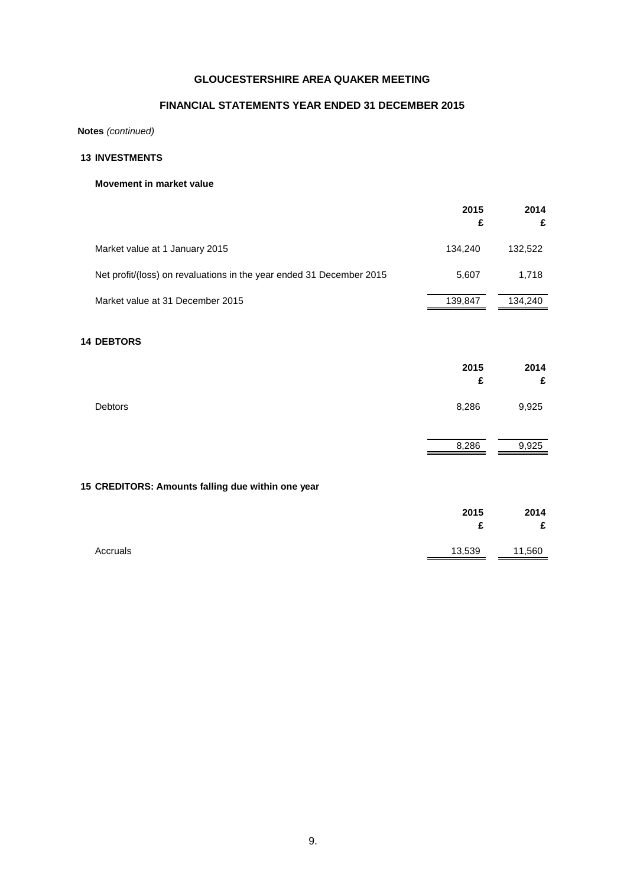# **FINANCIAL STATEMENTS YEAR ENDED 31 DECEMBER 2015**

**Notes** *(continued)*

# **13 INVESTMENTS**

### **Movement in market value**

|                                                                      | 2015<br>£ | 2014<br>£ |
|----------------------------------------------------------------------|-----------|-----------|
| Market value at 1 January 2015                                       | 134,240   | 132,522   |
| Net profit/(loss) on revaluations in the year ended 31 December 2015 | 5,607     | 1,718     |
| Market value at 31 December 2015                                     | 139,847   | 134,240   |
| <b>14 DEBTORS</b>                                                    |           |           |
|                                                                      | 2015<br>£ | 2014<br>£ |
| <b>Debtors</b>                                                       | 8,286     | 9,925     |
|                                                                      | 8,286     | 9,925     |
| 15 CREDITORS: Amounts falling due within one year                    |           |           |
|                                                                      | 2015<br>£ | 2014<br>£ |
| Accruals                                                             | 13,539    | 11,560    |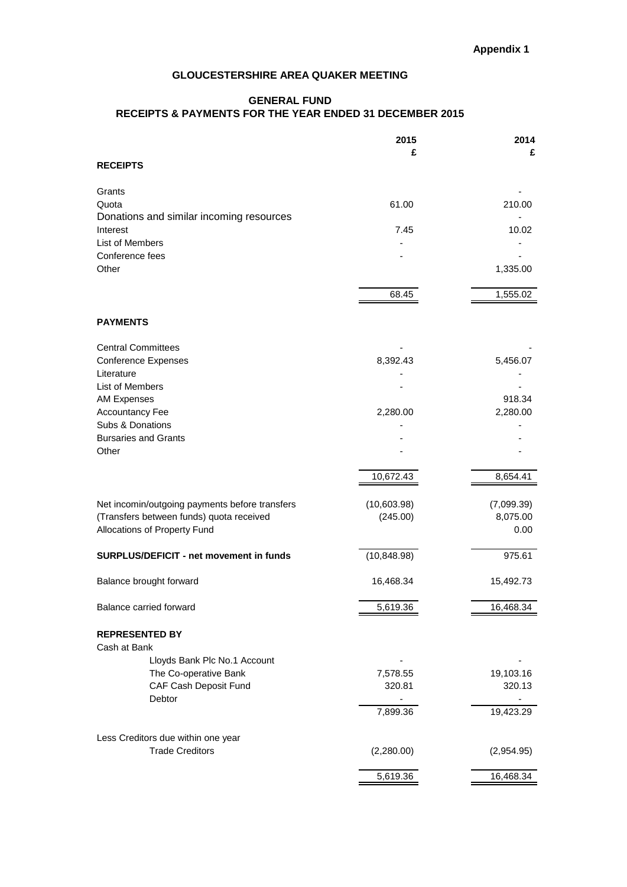# **GENERAL FUND RECEIPTS & PAYMENTS FOR THE YEAR ENDED 31 DECEMBER 2015**

|                                                              | 2015         | 2014       |
|--------------------------------------------------------------|--------------|------------|
|                                                              | £            | £          |
| <b>RECEIPTS</b>                                              |              |            |
| Grants                                                       |              |            |
| Quota                                                        | 61.00        | 210.00     |
| Donations and similar incoming resources                     |              |            |
| Interest                                                     | 7.45         | 10.02      |
| List of Members                                              |              |            |
| Conference fees<br>Other                                     |              | 1,335.00   |
|                                                              |              |            |
|                                                              | 68.45        | 1,555.02   |
|                                                              |              |            |
| <b>PAYMENTS</b>                                              |              |            |
|                                                              |              |            |
| <b>Central Committees</b>                                    |              |            |
| <b>Conference Expenses</b><br>Literature                     | 8,392.43     | 5,456.07   |
| List of Members                                              |              |            |
| <b>AM Expenses</b>                                           |              | 918.34     |
| <b>Accountancy Fee</b>                                       | 2,280.00     | 2,280.00   |
| Subs & Donations                                             |              |            |
| <b>Bursaries and Grants</b>                                  |              |            |
| Other                                                        |              |            |
|                                                              | 10,672.43    | 8,654.41   |
|                                                              |              |            |
| Net incomin/outgoing payments before transfers               | (10,603.98)  | (7,099.39) |
| (Transfers between funds) quota received                     | (245.00)     | 8,075.00   |
| Allocations of Property Fund                                 |              | 0.00       |
|                                                              |              |            |
| SURPLUS/DEFICIT - net movement in funds                      | (10, 848.98) | 975.61     |
| Balance brought forward                                      | 16,468.34    | 15,492.73  |
|                                                              |              |            |
| Balance carried forward                                      | 5,619.36     | 16,468.34  |
|                                                              |              |            |
| <b>REPRESENTED BY</b>                                        |              |            |
| Cash at Bank<br>Lloyds Bank Plc No.1 Account                 |              |            |
| The Co-operative Bank                                        | 7,578.55     | 19,103.16  |
| CAF Cash Deposit Fund                                        | 320.81       | 320.13     |
| Debtor                                                       |              |            |
|                                                              | 7,899.36     | 19,423.29  |
|                                                              |              |            |
| Less Creditors due within one year<br><b>Trade Creditors</b> | (2,280.00)   |            |
|                                                              |              | (2,954.95) |
|                                                              | 5,619.36     | 16,468.34  |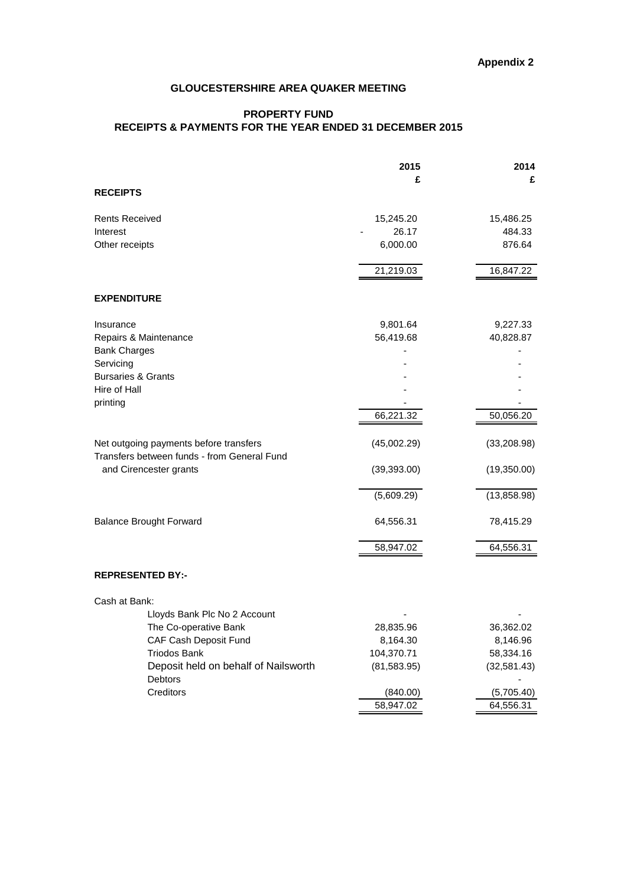# **PROPERTY FUND RECEIPTS & PAYMENTS FOR THE YEAR ENDED 31 DECEMBER 2015**

|                                                                       | 2015                  | 2014                    |
|-----------------------------------------------------------------------|-----------------------|-------------------------|
|                                                                       | £                     | £                       |
| <b>RECEIPTS</b>                                                       |                       |                         |
| <b>Rents Received</b>                                                 | 15,245.20             | 15,486.25               |
| Interest                                                              | 26.17                 | 484.33                  |
| Other receipts                                                        | 6,000.00              | 876.64                  |
|                                                                       | 21,219.03             | 16,847.22               |
| <b>EXPENDITURE</b>                                                    |                       |                         |
| Insurance                                                             | 9,801.64              | 9,227.33                |
| Repairs & Maintenance                                                 | 56,419.68             | 40,828.87               |
| <b>Bank Charges</b>                                                   |                       |                         |
| Servicing                                                             |                       |                         |
| <b>Bursaries &amp; Grants</b>                                         |                       |                         |
| Hire of Hall                                                          |                       |                         |
| printing                                                              |                       |                         |
|                                                                       | 66,221.32             | 50,056.20               |
| Net outgoing payments before transfers                                | (45,002.29)           | (33, 208.98)            |
| Transfers between funds - from General Fund<br>and Cirencester grants | (39, 393.00)          | (19,350.00)             |
|                                                                       | (5,609.29)            | (13,858.98)             |
| <b>Balance Brought Forward</b>                                        | 64,556.31             | 78,415.29               |
|                                                                       | 58,947.02             | 64,556.31               |
| <b>REPRESENTED BY:-</b>                                               |                       |                         |
| Cash at Bank:                                                         |                       |                         |
| Lloyds Bank Plc No 2 Account                                          |                       |                         |
| The Co-operative Bank                                                 | 28,835.96             | 36,362.02               |
| CAF Cash Deposit Fund                                                 | 8,164.30              | 8,146.96                |
| <b>Triodos Bank</b>                                                   | 104,370.71            | 58,334.16               |
| Deposit held on behalf of Nailsworth                                  | (81, 583.95)          | (32, 581.43)            |
| Debtors<br>Creditors                                                  |                       |                         |
|                                                                       | (840.00)<br>58,947.02 | (5,705.40)<br>64,556.31 |
|                                                                       |                       |                         |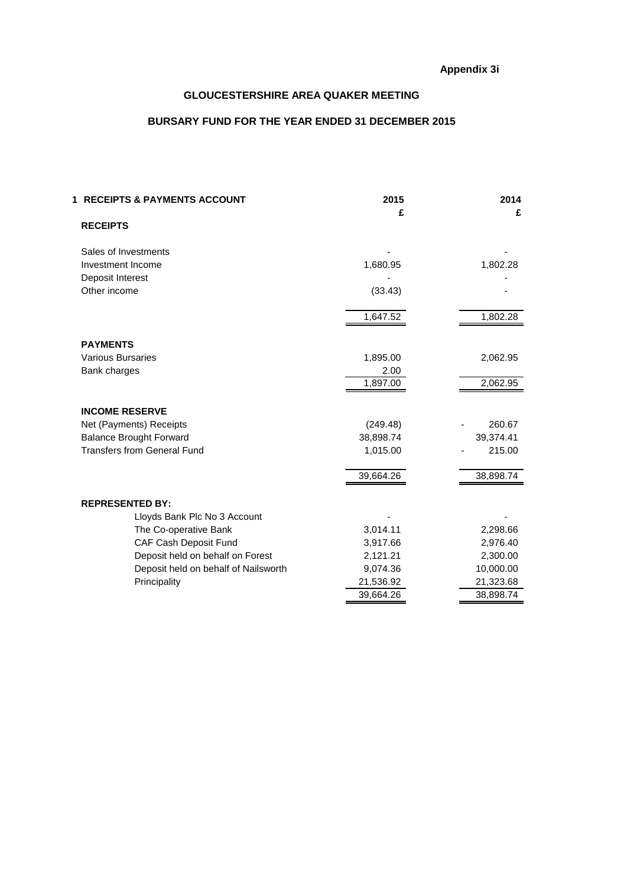# **BURSARY FUND FOR THE YEAR ENDED 31 DECEMBER 2015**

| <b>1 RECEIPTS &amp; PAYMENTS ACCOUNT</b> | 2015<br>£ | 2014<br>£ |
|------------------------------------------|-----------|-----------|
| <b>RECEIPTS</b>                          |           |           |
| Sales of Investments                     |           |           |
| Investment Income                        | 1,680.95  | 1,802.28  |
| Deposit Interest                         |           |           |
| Other income                             | (33.43)   |           |
|                                          | 1,647.52  | 1,802.28  |
| <b>PAYMENTS</b>                          |           |           |
| <b>Various Bursaries</b>                 | 1,895.00  | 2,062.95  |
| Bank charges                             | 2.00      |           |
|                                          | 1,897.00  | 2,062.95  |
| <b>INCOME RESERVE</b>                    |           |           |
| Net (Payments) Receipts                  | (249.48)  | 260.67    |
| <b>Balance Brought Forward</b>           | 38,898.74 | 39,374.41 |
| <b>Transfers from General Fund</b>       | 1,015.00  | 215.00    |
|                                          | 39,664.26 | 38,898.74 |
| <b>REPRESENTED BY:</b>                   |           |           |
| Lloyds Bank Plc No 3 Account             |           |           |
| The Co-operative Bank                    | 3,014.11  | 2,298.66  |
| CAF Cash Deposit Fund                    | 3,917.66  | 2,976.40  |
| Deposit held on behalf on Forest         | 2,121.21  | 2,300.00  |
| Deposit held on behalf of Nailsworth     | 9,074.36  | 10,000.00 |
| Principality                             | 21,536.92 | 21,323.68 |
|                                          | 39,664.26 | 38,898.74 |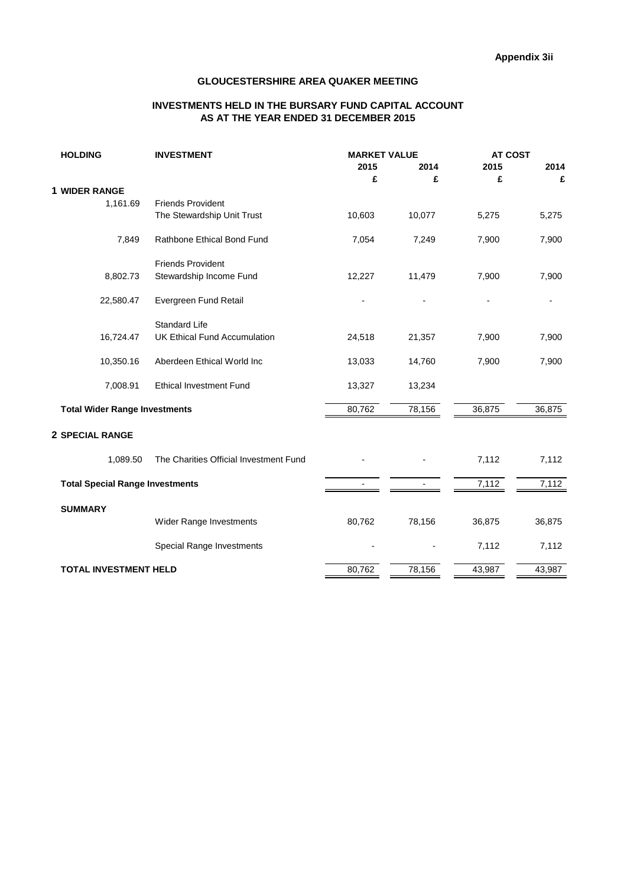### **INVESTMENTS HELD IN THE BURSARY FUND CAPITAL ACCOUNT AS AT THE YEAR ENDED 31 DECEMBER 2015**

| 2015<br>2015<br>2014<br>2014<br>£<br>£<br>£<br>£<br>1,161.69<br><b>Friends Provident</b><br>The Stewardship Unit Trust<br>10,603<br>10,077<br>5,275<br>5,275<br>7,849<br>Rathbone Ethical Bond Fund<br>7,900<br>7,054<br>7,249<br>7,900<br><b>Friends Provident</b><br>Stewardship Income Fund<br>8,802.73<br>12,227<br>11,479<br>7,900<br>7,900<br>22,580.47<br>Evergreen Fund Retail<br><b>Standard Life</b><br><b>UK Ethical Fund Accumulation</b><br>16,724.47<br>24,518<br>21,357<br>7,900<br>7,900<br>10,350.16<br>Aberdeen Ethical World Inc<br>13,033<br>14,760<br>7,900<br>7,900<br>7,008.91<br><b>Ethical Investment Fund</b><br>13,327<br>13,234<br>80,762<br>78,156<br>36,875<br><b>Total Wider Range Investments</b><br>36,875<br>The Charities Official Investment Fund<br>1,089.50<br>7,112<br>7,112<br><b>Total Special Range Investments</b><br>7,112<br>7,112<br><b>SUMMARY</b><br>78,156<br>Wider Range Investments<br>80,762<br>36,875<br>36,875<br>Special Range Investments<br>7,112<br>7,112<br><b>TOTAL INVESTMENT HELD</b><br>80,762<br>78,156<br>43,987<br>43,987 | <b>HOLDING</b>         | <b>INVESTMENT</b> | <b>MARKET VALUE</b> | <b>AT COST</b> |  |  |
|---------------------------------------------------------------------------------------------------------------------------------------------------------------------------------------------------------------------------------------------------------------------------------------------------------------------------------------------------------------------------------------------------------------------------------------------------------------------------------------------------------------------------------------------------------------------------------------------------------------------------------------------------------------------------------------------------------------------------------------------------------------------------------------------------------------------------------------------------------------------------------------------------------------------------------------------------------------------------------------------------------------------------------------------------------------------------------------------|------------------------|-------------------|---------------------|----------------|--|--|
|                                                                                                                                                                                                                                                                                                                                                                                                                                                                                                                                                                                                                                                                                                                                                                                                                                                                                                                                                                                                                                                                                             |                        |                   |                     |                |  |  |
|                                                                                                                                                                                                                                                                                                                                                                                                                                                                                                                                                                                                                                                                                                                                                                                                                                                                                                                                                                                                                                                                                             |                        |                   |                     |                |  |  |
|                                                                                                                                                                                                                                                                                                                                                                                                                                                                                                                                                                                                                                                                                                                                                                                                                                                                                                                                                                                                                                                                                             | <b>1 WIDER RANGE</b>   |                   |                     |                |  |  |
|                                                                                                                                                                                                                                                                                                                                                                                                                                                                                                                                                                                                                                                                                                                                                                                                                                                                                                                                                                                                                                                                                             |                        |                   |                     |                |  |  |
|                                                                                                                                                                                                                                                                                                                                                                                                                                                                                                                                                                                                                                                                                                                                                                                                                                                                                                                                                                                                                                                                                             |                        |                   |                     |                |  |  |
|                                                                                                                                                                                                                                                                                                                                                                                                                                                                                                                                                                                                                                                                                                                                                                                                                                                                                                                                                                                                                                                                                             |                        |                   |                     |                |  |  |
|                                                                                                                                                                                                                                                                                                                                                                                                                                                                                                                                                                                                                                                                                                                                                                                                                                                                                                                                                                                                                                                                                             |                        |                   |                     |                |  |  |
|                                                                                                                                                                                                                                                                                                                                                                                                                                                                                                                                                                                                                                                                                                                                                                                                                                                                                                                                                                                                                                                                                             |                        |                   |                     |                |  |  |
|                                                                                                                                                                                                                                                                                                                                                                                                                                                                                                                                                                                                                                                                                                                                                                                                                                                                                                                                                                                                                                                                                             |                        |                   |                     |                |  |  |
|                                                                                                                                                                                                                                                                                                                                                                                                                                                                                                                                                                                                                                                                                                                                                                                                                                                                                                                                                                                                                                                                                             |                        |                   |                     |                |  |  |
|                                                                                                                                                                                                                                                                                                                                                                                                                                                                                                                                                                                                                                                                                                                                                                                                                                                                                                                                                                                                                                                                                             |                        |                   |                     |                |  |  |
|                                                                                                                                                                                                                                                                                                                                                                                                                                                                                                                                                                                                                                                                                                                                                                                                                                                                                                                                                                                                                                                                                             |                        |                   |                     |                |  |  |
|                                                                                                                                                                                                                                                                                                                                                                                                                                                                                                                                                                                                                                                                                                                                                                                                                                                                                                                                                                                                                                                                                             |                        |                   |                     |                |  |  |
|                                                                                                                                                                                                                                                                                                                                                                                                                                                                                                                                                                                                                                                                                                                                                                                                                                                                                                                                                                                                                                                                                             |                        |                   |                     |                |  |  |
|                                                                                                                                                                                                                                                                                                                                                                                                                                                                                                                                                                                                                                                                                                                                                                                                                                                                                                                                                                                                                                                                                             | <b>2 SPECIAL RANGE</b> |                   |                     |                |  |  |
|                                                                                                                                                                                                                                                                                                                                                                                                                                                                                                                                                                                                                                                                                                                                                                                                                                                                                                                                                                                                                                                                                             |                        |                   |                     |                |  |  |
|                                                                                                                                                                                                                                                                                                                                                                                                                                                                                                                                                                                                                                                                                                                                                                                                                                                                                                                                                                                                                                                                                             |                        |                   |                     |                |  |  |
|                                                                                                                                                                                                                                                                                                                                                                                                                                                                                                                                                                                                                                                                                                                                                                                                                                                                                                                                                                                                                                                                                             |                        |                   |                     |                |  |  |
|                                                                                                                                                                                                                                                                                                                                                                                                                                                                                                                                                                                                                                                                                                                                                                                                                                                                                                                                                                                                                                                                                             |                        |                   |                     |                |  |  |
|                                                                                                                                                                                                                                                                                                                                                                                                                                                                                                                                                                                                                                                                                                                                                                                                                                                                                                                                                                                                                                                                                             |                        |                   |                     |                |  |  |
|                                                                                                                                                                                                                                                                                                                                                                                                                                                                                                                                                                                                                                                                                                                                                                                                                                                                                                                                                                                                                                                                                             |                        |                   |                     |                |  |  |
|                                                                                                                                                                                                                                                                                                                                                                                                                                                                                                                                                                                                                                                                                                                                                                                                                                                                                                                                                                                                                                                                                             |                        |                   |                     |                |  |  |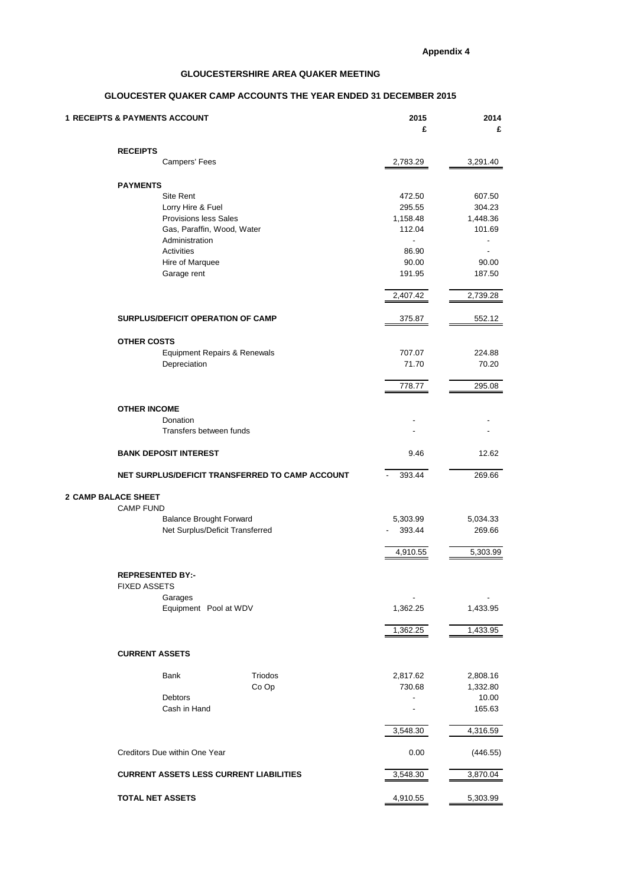### **GLOUCESTER QUAKER CAMP ACCOUNTS THE YEAR ENDED 31 DECEMBER 2015**

| <b>1 RECEIPTS &amp; PAYMENTS ACCOUNT</b> |                                                    |         | 2015<br>£                          | 2014<br>£         |  |
|------------------------------------------|----------------------------------------------------|---------|------------------------------------|-------------------|--|
|                                          | <b>RECEIPTS</b>                                    |         |                                    |                   |  |
|                                          | Campers' Fees                                      |         | 2,783.29                           | 3,291.40          |  |
|                                          | <b>PAYMENTS</b>                                    |         |                                    |                   |  |
|                                          | Site Rent                                          |         | 472.50                             | 607.50            |  |
|                                          | Lorry Hire & Fuel                                  |         | 295.55                             | 304.23            |  |
|                                          | <b>Provisions less Sales</b>                       |         | 1,158.48                           | 1,448.36          |  |
|                                          | Gas, Paraffin, Wood, Water<br>Administration       |         | 112.04<br>$\overline{\phantom{a}}$ | 101.69            |  |
|                                          | Activities                                         |         | 86.90                              |                   |  |
|                                          | Hire of Marquee                                    |         | 90.00                              | 90.00             |  |
|                                          | Garage rent                                        |         | 191.95                             | 187.50            |  |
|                                          |                                                    |         | 2,407.42                           | 2,739.28          |  |
|                                          | SURPLUS/DEFICIT OPERATION OF CAMP                  |         | 375.87                             | 552.12            |  |
|                                          |                                                    |         |                                    |                   |  |
|                                          | <b>OTHER COSTS</b><br>Equipment Repairs & Renewals |         | 707.07                             | 224.88            |  |
|                                          | Depreciation                                       |         | 71.70                              | 70.20             |  |
|                                          |                                                    |         | 778.77                             | 295.08            |  |
|                                          |                                                    |         |                                    |                   |  |
|                                          | <b>OTHER INCOME</b><br>Donation                    |         |                                    |                   |  |
|                                          | Transfers between funds                            |         |                                    |                   |  |
|                                          | <b>BANK DEPOSIT INTEREST</b>                       |         | 9.46                               | 12.62             |  |
|                                          | NET SURPLUS/DEFICIT TRANSFERRED TO CAMP ACCOUNT    |         | 393.44                             | 269.66            |  |
| <b>2 CAMP BALACE SHEET</b>               |                                                    |         |                                    |                   |  |
|                                          | <b>CAMP FUND</b>                                   |         |                                    |                   |  |
|                                          | <b>Balance Brought Forward</b>                     |         | 5,303.99                           | 5,034.33          |  |
|                                          | Net Surplus/Deficit Transferred                    |         | 393.44                             | 269.66            |  |
|                                          |                                                    |         | 4,910.55                           | 5,303.99          |  |
|                                          | <b>REPRESENTED BY:-</b><br><b>FIXED ASSETS</b>     |         |                                    |                   |  |
|                                          | Garages                                            |         |                                    |                   |  |
|                                          | Equipment Pool at WDV                              |         | 1,362.25                           | 1,433.95          |  |
|                                          |                                                    |         | 1,362.25                           | 1,433.95          |  |
|                                          | <b>CURRENT ASSETS</b>                              |         |                                    |                   |  |
|                                          |                                                    |         |                                    |                   |  |
|                                          | Bank                                               | Triodos | 2,817.62                           | 2,808.16          |  |
|                                          | Debtors                                            | Co Op   | 730.68<br>$\overline{\phantom{a}}$ | 1,332.80<br>10.00 |  |
|                                          | Cash in Hand                                       |         |                                    | 165.63            |  |
|                                          |                                                    |         | 3,548.30                           | 4,316.59          |  |
|                                          | Creditors Due within One Year                      |         | 0.00                               | (446.55)          |  |
|                                          | <b>CURRENT ASSETS LESS CURRENT LIABILITIES</b>     |         | 3,548.30                           | 3,870.04          |  |
|                                          |                                                    |         |                                    |                   |  |
|                                          | <b>TOTAL NET ASSETS</b>                            |         | 4,910.55                           | 5,303.99          |  |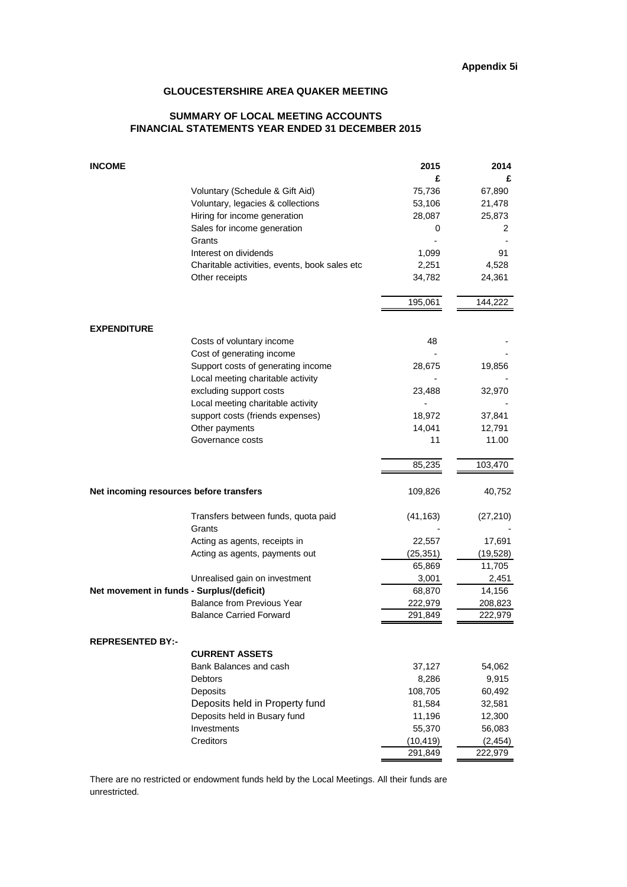### **SUMMARY OF LOCAL MEETING ACCOUNTS FINANCIAL STATEMENTS YEAR ENDED 31 DECEMBER 2015**

| <b>INCOME</b>                             |                                               | 2015      | 2014      |
|-------------------------------------------|-----------------------------------------------|-----------|-----------|
|                                           |                                               | £         | £         |
|                                           | Voluntary (Schedule & Gift Aid)               | 75.736    | 67,890    |
|                                           | Voluntary, legacies & collections             | 53,106    | 21,478    |
|                                           | Hiring for income generation                  | 28,087    | 25,873    |
|                                           | Sales for income generation                   | 0         | 2         |
|                                           | Grants                                        |           |           |
|                                           | Interest on dividends                         | 1,099     | 91        |
|                                           | Charitable activities, events, book sales etc | 2,251     | 4,528     |
|                                           | Other receipts                                | 34,782    | 24,361    |
|                                           |                                               | 195,061   | 144,222   |
| <b>EXPENDITURE</b>                        |                                               |           |           |
|                                           | Costs of voluntary income                     | 48        |           |
|                                           | Cost of generating income                     |           |           |
|                                           | Support costs of generating income            | 28,675    | 19,856    |
|                                           | Local meeting charitable activity             |           |           |
|                                           | excluding support costs                       | 23,488    | 32,970    |
|                                           | Local meeting charitable activity             |           |           |
|                                           | support costs (friends expenses)              | 18,972    | 37,841    |
|                                           | Other payments                                | 14,041    | 12,791    |
|                                           | Governance costs                              | 11        | 11.00     |
|                                           |                                               | 85,235    | 103,470   |
| Net incoming resources before transfers   |                                               | 109,826   | 40,752    |
|                                           | Transfers between funds, quota paid           | (41, 163) | (27, 210) |
|                                           | Grants                                        |           |           |
|                                           | Acting as agents, receipts in                 | 22,557    | 17,691    |
|                                           | Acting as agents, payments out                | (25, 351) | (19,528)  |
|                                           |                                               | 65,869    | 11,705    |
|                                           | Unrealised gain on investment                 | 3,001     | 2,451     |
| Net movement in funds - Surplus/(deficit) |                                               | 68,870    | 14,156    |
|                                           | <b>Balance from Previous Year</b>             | 222,979   | 208,823   |
|                                           | <b>Balance Carried Forward</b>                | 291,849   | 222,979   |
| <b>REPRESENTED BY:-</b>                   |                                               |           |           |
|                                           | <b>CURRENT ASSETS</b>                         |           |           |
|                                           | Bank Balances and cash                        | 37,127    | 54,062    |
|                                           | <b>Debtors</b>                                | 8,286     | 9,915     |
|                                           | Deposits                                      | 108,705   | 60,492    |
|                                           | Deposits held in Property fund                | 81,584    | 32,581    |
|                                           | Deposits held in Busary fund                  | 11,196    | 12,300    |
|                                           | Investments                                   | 55,370    | 56,083    |
|                                           | Creditors                                     | (10, 419) | (2, 454)  |
|                                           |                                               | 291,849   | 222,979   |

There are no restricted or endowment funds held by the Local Meetings. All their funds are unrestricted.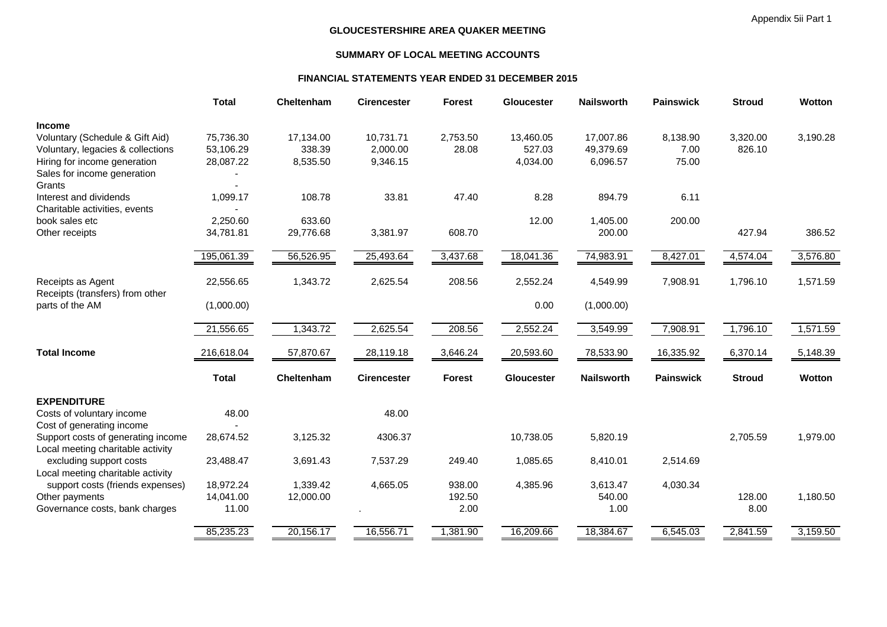# **SUMMARY OF LOCAL MEETING ACCOUNTS**

### **FINANCIAL STATEMENTS YEAR ENDED 31 DECEMBER 2015**

|              |                                                    | <b>Cirencester</b>                           |                      | Gloucester                        | <b>Nailsworth</b>             | <b>Painswick</b>                                          |                                | Wotton                                        |
|--------------|----------------------------------------------------|----------------------------------------------|----------------------|-----------------------------------|-------------------------------|-----------------------------------------------------------|--------------------------------|-----------------------------------------------|
|              |                                                    |                                              |                      |                                   |                               |                                                           |                                |                                               |
| 75,736.30    | 17,134.00                                          | 10,731.71                                    | 2,753.50             | 13,460.05                         | 17,007.86                     | 8,138.90                                                  | 3,320.00                       | 3,190.28                                      |
| 53,106.29    | 338.39                                             | 2,000.00                                     | 28.08                | 527.03                            | 49,379.69                     | 7.00                                                      | 826.10                         |                                               |
| 28,087.22    | 8,535.50                                           | 9,346.15                                     |                      | 4,034.00                          | 6,096.57                      | 75.00                                                     |                                |                                               |
|              |                                                    |                                              |                      |                                   |                               |                                                           |                                |                                               |
|              |                                                    |                                              |                      |                                   |                               |                                                           |                                |                                               |
| 1,099.17     | 108.78                                             | 33.81                                        | 47.40                | 8.28                              | 894.79                        | 6.11                                                      |                                |                                               |
|              |                                                    |                                              |                      |                                   |                               |                                                           |                                |                                               |
|              |                                                    |                                              |                      |                                   |                               |                                                           |                                |                                               |
| 34,781.81    | 29,776.68                                          | 3,381.97                                     | 608.70               |                                   | 200.00                        |                                                           | 427.94                         | 386.52                                        |
| 195,061.39   | 56,526.95                                          | 25,493.64                                    | 3,437.68             | 18,041.36                         | 74,983.91                     | 8,427.01                                                  | 4,574.04                       | 3,576.80                                      |
|              |                                                    |                                              |                      |                                   |                               |                                                           |                                | 1,571.59                                      |
|              |                                                    |                                              |                      |                                   |                               |                                                           |                                |                                               |
| (1,000.00)   |                                                    |                                              |                      | 0.00                              | (1,000.00)                    |                                                           |                                |                                               |
|              |                                                    |                                              |                      |                                   |                               |                                                           |                                |                                               |
|              |                                                    |                                              |                      |                                   |                               |                                                           |                                | 1,571.59                                      |
| 216,618.04   | 57,870.67                                          | 28,119.18                                    | 3,646.24             | 20,593.60                         | 78,533.90                     | 16,335.92                                                 | 6,370.14                       | 5,148.39                                      |
| <b>Total</b> | Cheltenham                                         | <b>Cirencester</b>                           | <b>Forest</b>        | Gloucester                        | <b>Nailsworth</b>             | <b>Painswick</b>                                          | <b>Stroud</b>                  | Wotton                                        |
|              |                                                    |                                              |                      |                                   |                               |                                                           |                                |                                               |
| 48.00        |                                                    | 48.00                                        |                      |                                   |                               |                                                           |                                |                                               |
|              |                                                    |                                              |                      |                                   |                               |                                                           |                                |                                               |
| 28,674.52    | 3,125.32                                           | 4306.37                                      |                      | 10,738.05                         | 5,820.19                      |                                                           | 2,705.59                       | 1,979.00                                      |
|              |                                                    |                                              |                      |                                   |                               |                                                           |                                |                                               |
| 23,488.47    | 3,691.43                                           | 7,537.29                                     | 249.40               | 1,085.65                          | 8,410.01                      | 2,514.69                                                  |                                |                                               |
|              |                                                    |                                              |                      |                                   |                               |                                                           |                                |                                               |
| 18,972.24    | 1,339.42                                           | 4,665.05                                     | 938.00               | 4,385.96                          | 3,613.47                      | 4,030.34                                                  |                                |                                               |
| 14,041.00    | 12,000.00                                          |                                              | 192.50               |                                   | 540.00                        |                                                           | 128.00                         | 1,180.50                                      |
|              |                                                    |                                              |                      |                                   |                               |                                                           |                                |                                               |
|              |                                                    |                                              |                      |                                   |                               |                                                           |                                |                                               |
|              | <b>Total</b><br>2,250.60<br>22,556.65<br>21,556.65 | Cheltenham<br>633.60<br>1,343.72<br>1,343.72 | 2,625.54<br>2,625.54 | <b>Forest</b><br>208.56<br>208.56 | 12.00<br>2,552.24<br>2,552.24 | 1,405.00<br>4,549.99<br>3,549.99<br>11.00<br>2.00<br>1.00 | 200.00<br>7,908.91<br>7,908.91 | <b>Stroud</b><br>1,796.10<br>1,796.10<br>8.00 |